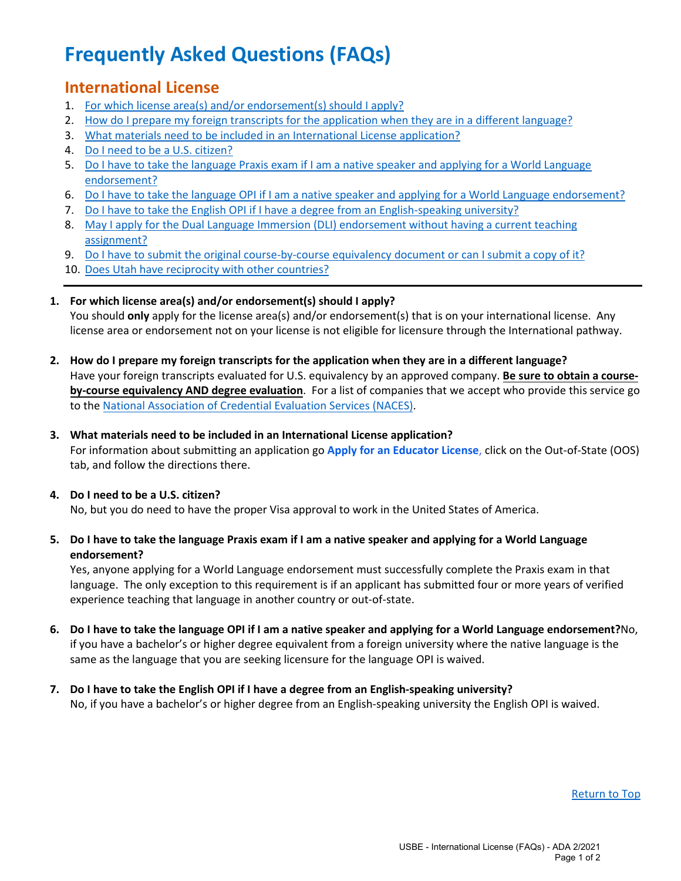# **Frequently Asked Questions (FAQs)**

# <span id="page-0-7"></span>**International License**

- 1. [For which license area\(s\) and/or endorsement\(s\) should I apply?](#page-0-0)
- 2. [How do I prepare my foreign transcripts for the application when they are in a different language?](#page-0-1)
- 3. [What materials need to be included in an International License application?](#page-0-2)
- 4. [Do I need to be a U.S. citizen?](#page-0-3)
- 5. [Do I have to take the language Praxis exam if I am a native speaker and applying for a World Language](#page-0-4) [endorsement?](#page-0-4)
- 6. [Do I have to take the language OPI if I am a native speaker and applying for a World Language endorsement?](#page-0-5)
- 7. [Do I have to take the English OPI if I have a degree from an English-speaking university?](#page-0-6)
- 8. [May I apply for the Dual Language Immersion \(DLI\) endorsement without having a current teaching](#page-1-0) [assignment?](#page-1-0)
- 9. [Do I have to submit the original course-by-course equivalency document or can I submit a copy of it?](#page-1-1)
- 10. [Does Utah have reciprocity with other countries?](#page-1-2)
- <span id="page-0-0"></span>**1. For which license area(s) and/or endorsement(s) should I apply?** You should **only** apply for the license area(s) and/or endorsement(s) that is on your international license. Any license area or endorsement not on your license is not eligible for licensure through the International pathway.
- <span id="page-0-1"></span>**2. How do I prepare my foreign transcripts for the application when they are in a different language?** Have your foreign transcripts evaluated for U.S. equivalency by an approved company. **Be sure to obtain a courseby-course equivalency AND degree evaluation**. For a list of companies that we accept who provide this service go to th[e National Association of Credential](http://www.naces.org/) Evaluation Services (NACES).

### <span id="page-0-2"></span>**3. What materials need to be included in an International License application?**

For information about submitting an application go **[Apply for an Educator License](https://www.schools.utah.gov/licensing/apply?mid=5257&tid=2)**, click on the Out-of-State (OOS) tab, and follow the directions there.

## <span id="page-0-3"></span>**4. Do I need to be a U.S. citizen?**

No, but you do need to have the proper Visa approval to work in the United States of America.

#### <span id="page-0-4"></span>**5. Do I have to take the language Praxis exam if I am a native speaker and applying for a World Language endorsement?**

Yes, anyone applying for a World Language endorsement must successfully complete the Praxis exam in that language. The only exception to this requirement is if an applicant has submitted four or more years of verified experience teaching that language in another country or out-of-state.

- <span id="page-0-5"></span>**6. Do I have to take the language OPI if I am a native speaker and applying for a World Language endorsement?**No, if you have a bachelor's or higher degree equivalent from a foreign university where the native language is the same as the language that you are seeking licensure for the language OPI is waived.
- <span id="page-0-6"></span>**7. Do I have to take the English OPI if I have a degree from an English-speaking university?** No, if you have a bachelor's or higher degree from an English-speaking university the English OPI is waived.

[Return to Top](#page-0-7)